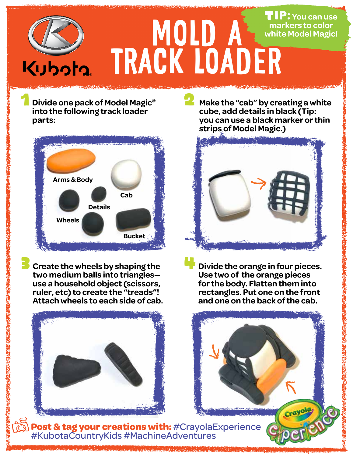## MOLD A track loader Tip: **You can use markers to color white Model Magic!**

1 **Divide one pack of Model Magic® into the following track loader parts:**



3 **Create the wheels by shaping the two medium balls into triangles use a household object (scissors, ruler, etc) to create the "treads"! Attach wheels to each side of cab.**



**2** Make the "cab" by creating a white **cube, add details in black (Tip: you can use a black marker or thin strips of Model Magic.)** 



4**Divide the orange in four pieces. Use two of the orange pieces for the body. Flatten them into rectangles. Put one on the front and one on the back of the cab.** 

**Post & tag your creations with:** #CrayolaExperience #KubotaCountryKids #MachineAdventures